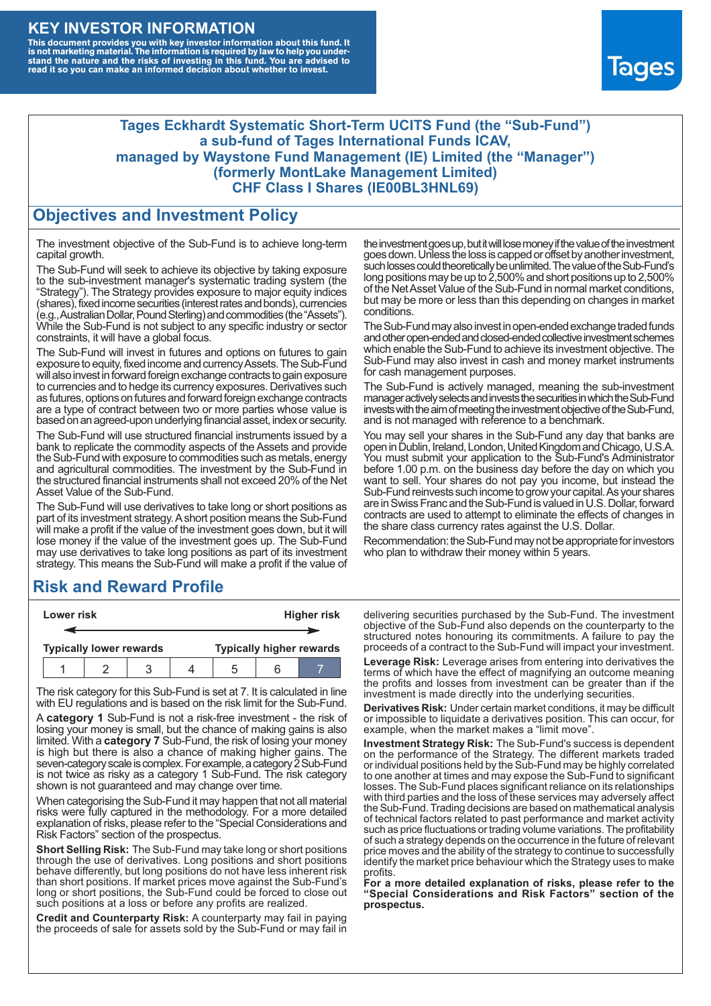### **KEY INVESTOR INFORMATION**

This document provides you with key investor information about this fund. It<br>is not marketing material. The information is required by law to help you under-<br>stand the nature and the risks of investing in this fund. You ar



#### **Tages Eckhardt Systematic Short-Term UCITS Fund (the "Sub-Fund") a sub-fund of Tages International Funds ICAV, managed by Waystone Fund Management (IE) Limited (the "Manager") (formerly MontLake Management Limited) CHF Class I Shares (IE00BL3HNL69)**

#### **Objectives and Investment Policy**

The investment objective of the Sub-Fund is to achieve long-term capital growth.

The Sub-Fund will seek to achieve its objective by taking exposure to the sub-investment manager's systematic trading system (the "Strategy"). The Strategy provides exposure to major equity indices (shares),fixed income securities (interest rates and bonds), currencies (e.g.,AustralianDollar,PoundSterling)and commodities (the "Assets"). While the Sub-Fund is not subject to any specific industry or sector constraints, it will have a global focus.

The Sub-Fund will invest in futures and options on futures to gain exposure to equity, fixed income and currency Assets. The Sub-Fund will also invest in forward foreign exchange contracts to gain exposure to currencies and to hedge its currency exposures. Derivatives such as futures, options on futures and forward foreign exchange contracts are a type of contract between two or more parties whose value is based on an agreed-upon underlying financial asset, index or security.

The Sub-Fund will use structured financial instruments issued by a bank to replicate the commodity aspects of the Assets and provide the Sub-Fund with exposure to commodities such as metals, energy and agricultural commodities. The investment by the Sub-Fund in the structured financial instruments shall not exceed 20% of the Net Asset Value of the Sub-Fund.

The Sub-Fund will use derivatives to take long or short positions as part of its investment strategy.A short position means the Sub-Fund will make a profit if the value of the investment goes down, but it will lose money if the value of the investment goes up. The Sub-Fund may use derivatives to take long positions as part of its investment strategy. This means the Sub-Fund will make a profit if the value of

### **Risk and Reward Profile**

| Lower risk |  |                                |  |  | <b>Higher risk</b> |                                 |  |
|------------|--|--------------------------------|--|--|--------------------|---------------------------------|--|
|            |  |                                |  |  |                    |                                 |  |
|            |  | <b>Typically lower rewards</b> |  |  |                    | <b>Typically higher rewards</b> |  |
|            |  |                                |  |  | ۰.                 |                                 |  |

The risk category for this Sub-Fund is set at 7. It is calculated in line with EU regulations and is based on the risk limit for the Sub-Fund.

A **category 1** Sub-Fund is not a risk-free investment - the risk of losing your money is small, but the chance of making gains is also limited. With a **category 7** Sub-Fund, the risk of losing your money is high but there is also a chance of making higher gains. The seven-category scale is complex. For example, a category 2 Sub-Fund is not twice as risky as a category 1 Sub-Fund. The risk category shown is not guaranteed and may change over time.

When categorising the Sub-Fund it may happen that not all material risks were fully captured in the methodology. For a more detailed explanation of risks, please refer to the "Special Considerations and Risk Factors" section of the prospectus.

**Short Selling Risk:** The Sub-Fund may take long or short positions through the use of derivatives. Long positions and short positions behave differently, but long positions do not have less inherent risk than short positions. If market prices move against the Sub-Fund's long or short positions, the Sub-Fund could be forced to close out such positions at a loss or before any profits are realized.

**Credit and Counterparty Risk:** A counterparty may fail in paying the proceeds of sale for assets sold by the Sub-Fund or may fail in the investment goes up, but it will lose money if the value of the investment goes down. Unlessthe loss is capped or offset by another investment, such losses could theoretically be unlimited. The value of the Sub-Fund's long positions may be up to  $2,500\%$  and short positions up to  $2,500\%$ of the NetAsset Value of the Sub-Fund in normal market conditions, but may be more or less than this depending on changes in market conditions.

The Sub-Fund may also invest in open-ended exchange traded funds and other open-ended and closed-ended collective investment schemes which enable the Sub-Fund to achieve its investment objective. The Sub-Fund may also invest in cash and money market instruments for cash management purposes.

The Sub-Fund is actively managed, meaning the sub-investment manager actively selects and invests the securities in which the Sub-Fund invests with the aim of meeting the investment objective of the Sub-Fund, and is not managed with reference to a benchmark.

You may sell your shares in the Sub-Fund any day that banks are open in Dublin, Ireland, London, United Kingdom and Chicago, U.S.A. You must submit your application to the Sub-Fund's Administrator before 1.00 p.m. on the business day before the day on which you want to sell. Your shares do not pay you income, but instead the Sub-Fund reinvests such income to grow your capital. As your shares are in Swiss Franc and the Sub-Fund is valued in U.S. Dollar, forward contracts are used to attempt to eliminate the effects of changes in the share class currency rates against the U.S. Dollar.

Recommendation: the Sub-Fund may not be appropriate for investors who plan to withdraw their money within 5 years.

delivering securities purchased by the Sub-Fund. The investment objective of the Sub-Fund also depends on the counterparty to the structured notes honouring its commitments. A failure to pay the proceeds of a contract to the Sub-Fund will impact your investment.

**Leverage Risk:** Leverage arises from entering into derivatives the terms of which have the effect of magnifying an outcome meaning the profits and losses from investment can be greater than if the investment is made directly into the underlying securities.

**Derivatives Risk:** Under certain market conditions, it may be difficult or impossible to liquidate a derivatives position. This can occur, for example, when the market makes a "limit move".

**Investment Strategy Risk:** The Sub-Fund's success is dependent on the performance of the Strategy. The different markets traded or individual positions held by the Sub-Fund may be highly correlated to one another at times and may expose the Sub-Fund to significant losses. The Sub-Fund places significant reliance on its relationships with third parties and the loss of these services may adversely affect the Sub-Fund. Trading decisions are based on mathematical analysis of technical factors related to past performance and market activity such as price fluctuations or trading volume variations. The profitability of such a strategy depends on the occurrence in the future of relevant price moves and the ability of the strategy to continue to successfully identify the market price behaviour which the Strategy uses to make profits.

**For a more detailed explanation of risks, please refer to the "Special Considerations and Risk Factors" section of the prospectus.**